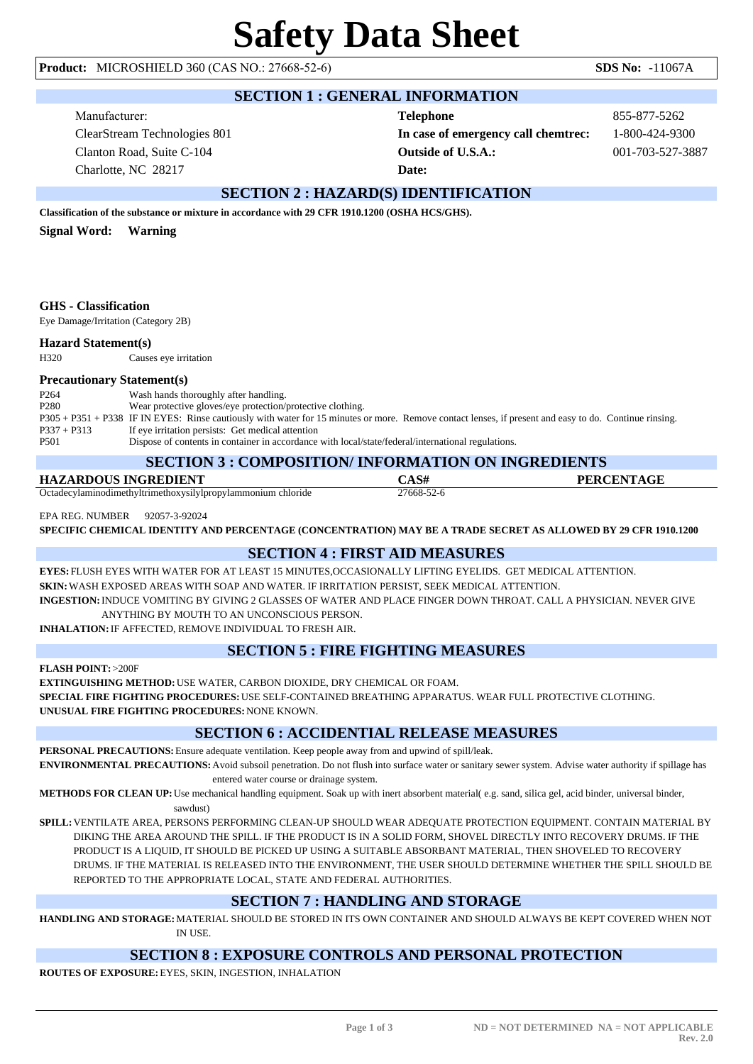#### **Product:** MICROSHIELD 360 (CAS NO.: 27668-52-6) **SDS No:** -11067A

#### **SECTION 1 : GENERAL INFORMATION**

Manufacturer: ClearStream Technologies 801 Clanton Road, Suite C-104 Charlotte, NC 28217

# **Telephone** 855-877-5262 **In case of emergency call chemtrec:** 1-800-424-9300 **Outside of U.S.A.:** 001-703-527-3887 **Date:**

# **SECTION 2 : HAZARD(S) IDENTIFICATION**

**Classification of the substance or mixture in accordance with 29 CFR 1910.1200 (OSHA HCS/GHS).**

**Signal Word: Warning**

#### **GHS - Classification**

Eye Damage/Irritation (Category 2B)

#### **Hazard Statement(s)**

H320 Causes eye irritation

#### **Precautionary Statement(s)**

| P <sub>264</sub> | Wash hands thoroughly after handling.                                                                                                                  |
|------------------|--------------------------------------------------------------------------------------------------------------------------------------------------------|
| P <sub>280</sub> | Wear protective gloves/eye protection/protective clothing.                                                                                             |
|                  | P305 + P351 + P338 IF IN EYES: Rinse cautiously with water for 15 minutes or more. Remove contact lenses, if present and easy to do. Continue rinsing. |
| $P337 + P313$    | If eye irritation persists: Get medical attention                                                                                                      |
| P <sub>501</sub> | Dispose of contents in container in accordance with local/state/federal/international regulations.                                                     |

#### **SECTION 3 : COMPOSITION/ INFORMATION ON INGREDIENTS**

| <u>BECHON 2 : COMI OBITION INFORMATION ON INORDIENTS</u>     |            |                   |  |  |  |
|--------------------------------------------------------------|------------|-------------------|--|--|--|
| HAZARDOUS INGREDIENT                                         |            | <b>PERCENTAGE</b> |  |  |  |
| Octadecylaminodimethyltrimethoxysilylpropylammonium chloride | 27668-52-6 |                   |  |  |  |

EPA REG. NUMBER 92057-3-92024

**SPECIFIC CHEMICAL IDENTITY AND PERCENTAGE (CONCENTRATION) MAY BE A TRADE SECRET AS ALLOWED BY 29 CFR 1910.1200**

## **SECTION 4 : FIRST AID MEASURES**

**EYES:** FLUSH EYES WITH WATER FOR AT LEAST 15 MINUTES,OCCASIONALLY LIFTING EYELIDS. GET MEDICAL ATTENTION. **SKIN:**WASH EXPOSED AREAS WITH SOAP AND WATER. IF IRRITATION PERSIST, SEEK MEDICAL ATTENTION. **INGESTION:**INDUCE VOMITING BY GIVING 2 GLASSES OF WATER AND PLACE FINGER DOWN THROAT. CALL A PHYSICIAN. NEVER GIVE

ANYTHING BY MOUTH TO AN UNCONSCIOUS PERSON.

**INHALATION:**IF AFFECTED, REMOVE INDIVIDUAL TO FRESH AIR.

## **SECTION 5 : FIRE FIGHTING MEASURES**

**FLASH POINT:** >200F

**EXTINGUISHING METHOD:**USE WATER, CARBON DIOXIDE, DRY CHEMICAL OR FOAM.

**SPECIAL FIRE FIGHTING PROCEDURES:**USE SELF-CONTAINED BREATHING APPARATUS. WEAR FULL PROTECTIVE CLOTHING. **UNUSUAL FIRE FIGHTING PROCEDURES:**NONE KNOWN.

# **SECTION 6 : ACCIDENTIAL RELEASE MEASURES**

**PERSONAL PRECAUTIONS:**Ensure adequate ventilation. Keep people away from and upwind of spill/leak.

**ENVIRONMENTAL PRECAUTIONS:**Avoid subsoil penetration. Do not flush into surface water or sanitary sewer system. Advise water authority if spillage has entered water course or drainage system.

**METHODS FOR CLEAN UP:**Use mechanical handling equipment. Soak up with inert absorbent material( e.g. sand, silica gel, acid binder, universal binder,

sawdust)

**SPILL:**VENTILATE AREA, PERSONS PERFORMING CLEAN-UP SHOULD WEAR ADEQUATE PROTECTION EQUIPMENT. CONTAIN MATERIAL BY DIKING THE AREA AROUND THE SPILL. IF THE PRODUCT IS IN A SOLID FORM, SHOVEL DIRECTLY INTO RECOVERY DRUMS. IF THE PRODUCT IS A LIQUID, IT SHOULD BE PICKED UP USING A SUITABLE ABSORBANT MATERIAL, THEN SHOVELED TO RECOVERY DRUMS. IF THE MATERIAL IS RELEASED INTO THE ENVIRONMENT, THE USER SHOULD DETERMINE WHETHER THE SPILL SHOULD BE REPORTED TO THE APPROPRIATE LOCAL, STATE AND FEDERAL AUTHORITIES.

## **SECTION 7 : HANDLING AND STORAGE**

**HANDLING AND STORAGE:**MATERIAL SHOULD BE STORED IN ITS OWN CONTAINER AND SHOULD ALWAYS BE KEPT COVERED WHEN NOT IN USE.

## **SECTION 8 : EXPOSURE CONTROLS AND PERSONAL PROTECTION**

**ROUTES OF EXPOSURE:**EYES, SKIN, INGESTION, INHALATION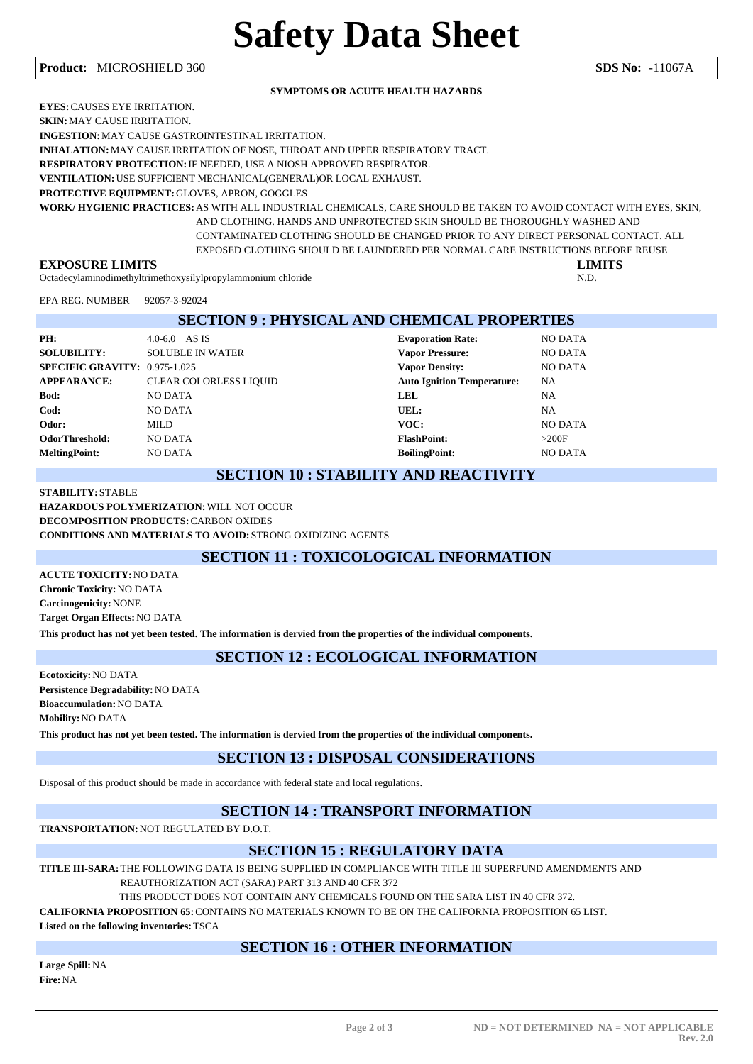#### **Product:** MICROSHIELD 360 **SDS No:** -11067A

#### **SYMPTOMS OR ACUTE HEALTH HAZARDS**

**EYES:**CAUSES EYE IRRITATION.

**SKIN:**MAY CAUSE IRRITATION.

**INGESTION:**MAY CAUSE GASTROINTESTINAL IRRITATION.

**INHALATION:**MAY CAUSE IRRITATION OF NOSE, THROAT AND UPPER RESPIRATORY TRACT.

**RESPIRATORY PROTECTION:**IF NEEDED, USE A NIOSH APPROVED RESPIRATOR.

**VENTILATION:**USE SUFFICIENT MECHANICAL(GENERAL)OR LOCAL EXHAUST.

**PROTECTIVE EQUIPMENT:**GLOVES, APRON, GOGGLES

**WORK/ HYGIENIC PRACTICES:**AS WITH ALL INDUSTRIAL CHEMICALS, CARE SHOULD BE TAKEN TO AVOID CONTACT WITH EYES, SKIN, AND CLOTHING. HANDS AND UNPROTECTED SKIN SHOULD BE THOROUGHLY WASHED AND CONTAMINATED CLOTHING SHOULD BE CHANGED PRIOR TO ANY DIRECT PERSONAL CONTACT. ALL EXPOSED CLOTHING SHOULD BE LAUNDERED PER NORMAL CARE INSTRUCTIONS BEFORE REUSE

**EXPOSURE LIMITS LIMITS**

Octadecylaminodimethyltrimethoxysilylpropylammonium chloride N.D.

EPA REG. NUMBER 92057-3-92024

| <b>SECTION 9: PHYSICAL AND CHEMICAL PROPERTIES</b> |                               |                                   |                |  |  |
|----------------------------------------------------|-------------------------------|-----------------------------------|----------------|--|--|
| PH:                                                | $4.0 - 6.0$ AS IS             | <b>Evaporation Rate:</b>          | <b>NO DATA</b> |  |  |
| <b>SOLUBILITY:</b>                                 | <b>SOLUBLE IN WATER</b>       | <b>Vapor Pressure:</b>            | <b>NO DATA</b> |  |  |
| SPECIFIC GRAVITY: 0.975-1.025                      |                               | <b>Vapor Density:</b>             | <b>NO DATA</b> |  |  |
| <b>APPEARANCE:</b>                                 | <b>CLEAR COLORLESS LIQUID</b> | <b>Auto Ignition Temperature:</b> | <b>NA</b>      |  |  |
| <b>Bod:</b>                                        | NO DATA                       | LEL                               | <b>NA</b>      |  |  |
| Cod:                                               | NO DATA                       | UEL:                              | <b>NA</b>      |  |  |
| Odor:                                              | MILD                          | VOC:                              | NO DATA        |  |  |
| <b>OdorThreshold:</b>                              | <b>NO DATA</b>                | <b>FlashPoint:</b>                | >200F          |  |  |

**MeltingPoint:** NO DATA **BoilingPoint:** NO DATA

#### **SECTION 10 : STABILITY AND REACTIVITY**

**STABILITY:** STABLE **HAZARDOUS POLYMERIZATION:**WILL NOT OCCUR **DECOMPOSITION PRODUCTS:**CARBON OXIDES **CONDITIONS AND MATERIALS TO AVOID:** STRONG OXIDIZING AGENTS

# **SECTION 11 : TOXICOLOGICAL INFORMATION**

**ACUTE TOXICITY:**NO DATA **Chronic Toxicity:**NO DATA **Carcinogenicity:**NONE **Target Organ Effects:**NO DATA

**This product has not yet been tested. The information is dervied from the properties of the individual components.**

## **SECTION 12 : ECOLOGICAL INFORMATION**

**Ecotoxicity:**NO DATA **Persistence Degradability:**NO DATA **Bioaccumulation:**NO DATA **Mobility:**NO DATA **This product has not yet been tested. The information is dervied from the properties of the individual components.**

## **SECTION 13 : DISPOSAL CONSIDERATIONS**

Disposal of this product should be made in accordance with federal state and local regulations.

## **SECTION 14 : TRANSPORT INFORMATION**

**TRANSPORTATION:**NOT REGULATED BY D.O.T.

# **SECTION 15 : REGULATORY DATA**

**TITLE III-SARA:**THE FOLLOWING DATA IS BEING SUPPLIED IN COMPLIANCE WITH TITLE III SUPERFUND AMENDMENTS AND

REAUTHORIZATION ACT (SARA) PART 313 AND 40 CFR 372

THIS PRODUCT DOES NOT CONTAIN ANY CHEMICALS FOUND ON THE SARA LIST IN 40 CFR 372.

**CALIFORNIA PROPOSITION 65:**CONTAINS NO MATERIALS KNOWN TO BE ON THE CALIFORNIA PROPOSITION 65 LIST.

**Listed on the following inventories:**TSCA

## **SECTION 16 : OTHER INFORMATION**

**Large Spill:**NA **Fire:**NA